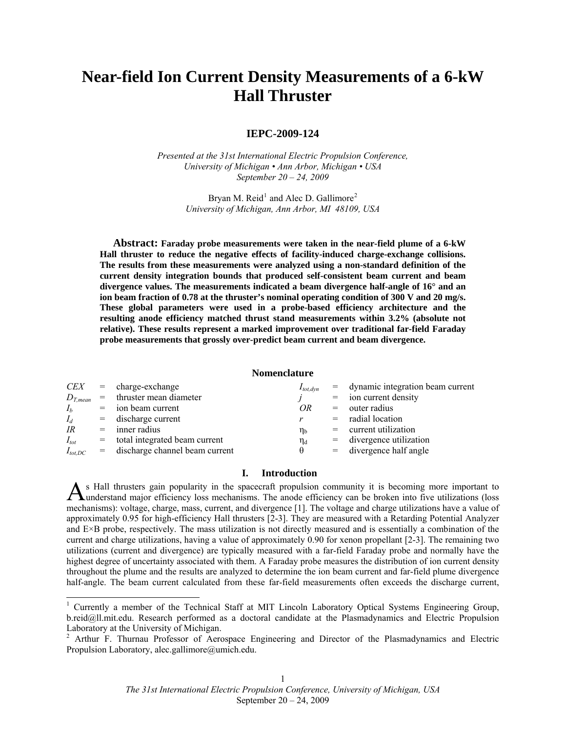# **Near-field Ion Current Density Measurements of a 6-kW Hall Thruster**

# **IEPC-2009-124**

*Presented at the 31st International Electric Propulsion Conference, University of Michigan • Ann Arbor, Michigan • USA September 20 – 24, 2009* 

> Bryan M. Reid<sup>[1](#page-0-0)</sup> and Alec D. Gallimore<sup>[2](#page-0-1)</sup> *University of Michigan, Ann Arbor, MI 48109, USA*

**Abstract: Faraday probe measurements were taken in the near-field plume of a 6-kW Hall thruster to reduce the negative effects of facility-induced charge-exchange collisions. The results from these measurements were analyzed using a non-standard definition of the current density integration bounds that produced self-consistent beam current and beam divergence values. The measurements indicated a beam divergence half-angle of 16° and an ion beam fraction of 0.78 at the thruster's nominal operating condition of 300 V and 20 mg/s. These global parameters were used in a probe-based efficiency architecture and the resulting anode efficiency matched thrust stand measurements within 3.2% (absolute not relative). These results represent a marked improvement over traditional far-field Faraday probe measurements that grossly over-predict beam current and beam divergence.** 

# **Nomenclature**

| <i>CEX</i>     | $=$ charge-exchange               | $I_{tot,dyn}$  | $=$ dynamic integration beam current |
|----------------|-----------------------------------|----------------|--------------------------------------|
| $D_{T,mean}$   | $=$ thruster mean diameter        |                | $=$ ion current density              |
| I <sub>b</sub> | $=$ ion beam current              | OR             | $=$ outer radius                     |
| $I_d$          | $=$ discharge current             |                | $=$ radial location                  |
| IR             | $=$ inner radius                  | $\eta_{\rm b}$ | $=$ current utilization              |
| $I_{tot}$      | $=$ total integrated beam current | $\eta_d$       | $=$ divergence utilization           |
| $I_{tot,DC}$   | = discharge channel beam current  |                | $=$ divergence half angle            |

# **I. Introduction**

s Hall thrusters gain popularity in the spacecraft propulsion community it is becoming more important to As Hall thrusters gain popularity in the spacecraft propulsion community it is becoming more important to understand major efficiency loss mechanisms. The anode efficiency can be broken into five utilizations (loss mechanisms): voltage, charge, mass, current, and divergence [1]. The voltage and charge utilizations have a value of approximately 0.95 for high-efficiency Hall thrusters [2-3]. They are measured with a Retarding Potential Analyzer and E×B probe, respectively. The mass utilization is not directly measured and is essentially a combination of the current and charge utilizations, having a value of approximately 0.90 for xenon propellant [2-3]. The remaining two utilizations (current and divergence) are typically measured with a far-field Faraday probe and normally have the highest degree of uncertainty associated with them. A Faraday probe measures the distribution of ion current density throughout the plume and the results are analyzed to determine the ion beam current and far-field plume divergence half-angle. The beam current calculated from these far-field measurements often exceeds the discharge current,

<span id="page-0-0"></span><sup>&</sup>lt;sup>1</sup> Currently a member of the Technical Staff at MIT Lincoln Laboratory Optical Systems Engineering Group, b.reid@ll.mit.edu. Research performed as a doctoral candidate at the Plasmadynamics and Electric Propulsion Laboratory at the University of Michigan.

<span id="page-0-1"></span><sup>&</sup>lt;sup>2</sup> Arthur F. Thurnau Professor of Aerospace Engineering and Director of the Plasmadynamics and Electric Propulsion Laboratory, alec.gallimore@umich.edu.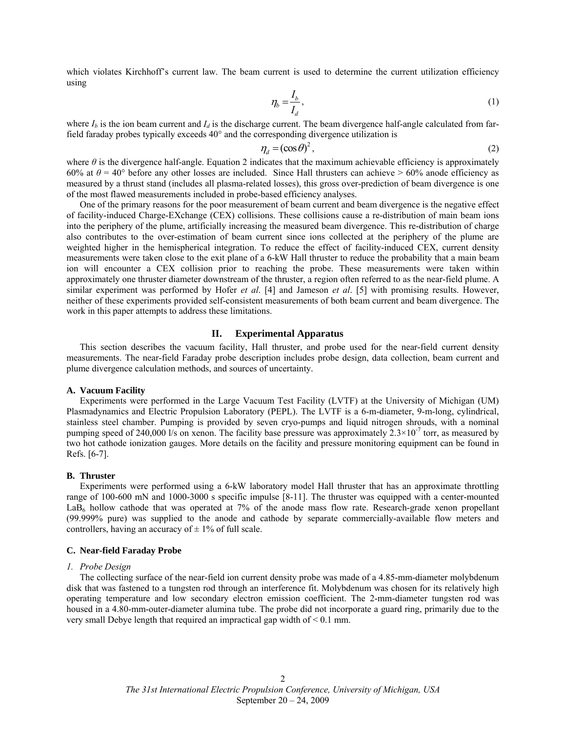which violates Kirchhoff's current law. The beam current is used to determine the current utilization efficiency using

$$
\eta_b = \frac{I_b}{I_d},\tag{1}
$$

where  $I_b$  is the ion beam current and  $I_d$  is the discharge current. The beam divergence half-angle calculated from farfield faraday probes typically exceeds 40° and the corresponding divergence utilization is

$$
\eta_d = (\cos \theta)^2, \tag{2}
$$

where *θ* is the divergence half-angle. Equation 2 indicates that the maximum achievable efficiency is approximately 60% at  $\theta$  = 40° before any other losses are included. Since Hall thrusters can achieve > 60% anode efficiency as measured by a thrust stand (includes all plasma-related losses), this gross over-prediction of beam divergence is one of the most flawed measurements included in probe-based efficiency analyses.

One of the primary reasons for the poor measurement of beam current and beam divergence is the negative effect of facility-induced Charge-EXchange (CEX) collisions. These collisions cause a re-distribution of main beam ions into the periphery of the plume, artificially increasing the measured beam divergence. This re-distribution of charge also contributes to the over-estimation of beam current since ions collected at the periphery of the plume are weighted higher in the hemispherical integration. To reduce the effect of facility-induced CEX, current density measurements were taken close to the exit plane of a 6-kW Hall thruster to reduce the probability that a main beam ion will encounter a CEX collision prior to reaching the probe. These measurements were taken within approximately one thruster diameter downstream of the thruster, a region often referred to as the near-field plume. A similar experiment was performed by Hofer *et al*. [4] and Jameson *et al*. [5] with promising results. However, neither of these experiments provided self-consistent measurements of both beam current and beam divergence. The work in this paper attempts to address these limitations.

#### **II. Experimental Apparatus**

<span id="page-1-0"></span>This section describes the vacuum facility, Hall thruster, and probe used for the near-field current density measurements. The near-field Faraday probe description includes probe design, data collection, beam current and plume divergence calculation methods, and sources of uncertainty.

### **A. Vacuum Facility**

Experiments were performed in the Large Vacuum Test Facility (LVTF) at the University of Michigan (UM) Plasmadynamics and Electric Propulsion Laboratory (PEPL). The LVTF is a 6-m-diameter, 9-m-long, cylindrical, stainless steel chamber. Pumping is provided by seven cryo-pumps and liquid nitrogen shrouds, with a nominal pumping speed of 240,000 l/s on xenon. The facility base pressure was approximately  $2.3 \times 10^{-7}$  torr, as measured by two hot cathode ionization gauges. More details on the facility and pressure monitoring equipment can be found in Refs. [6-7].

#### **B. Thruster**

Experiments were performed using a 6-kW laboratory model Hall thruster that has an approximate throttling range of 100-600 mN and 1000-3000 s specific impulse [8-11]. The thruster was equipped with a center-mounted LaB<sub>6</sub> hollow cathode that was operated at 7% of the anode mass flow rate. Research-grade xenon propellant (99.999% pure) was supplied to the anode and cathode by separate commercially-available flow meters and controllers, having an accuracy of  $\pm$  1% of full scale.

#### <span id="page-1-1"></span>**C. Near-field Faraday Probe**

# *1. Probe Design*

The collecting surface of the near-field ion current density probe was made of a 4.85-mm-diameter molybdenum disk that was fastened to a tungsten rod through an interference fit. Molybdenum was chosen for its relatively high operating temperature and low secondary electron emission coefficient. The 2-mm-diameter tungsten rod was housed in a 4.80-mm-outer-diameter alumina tube. The probe did not incorporate a guard ring, primarily due to the very small Debye length that required an impractical gap width of < 0.1 mm.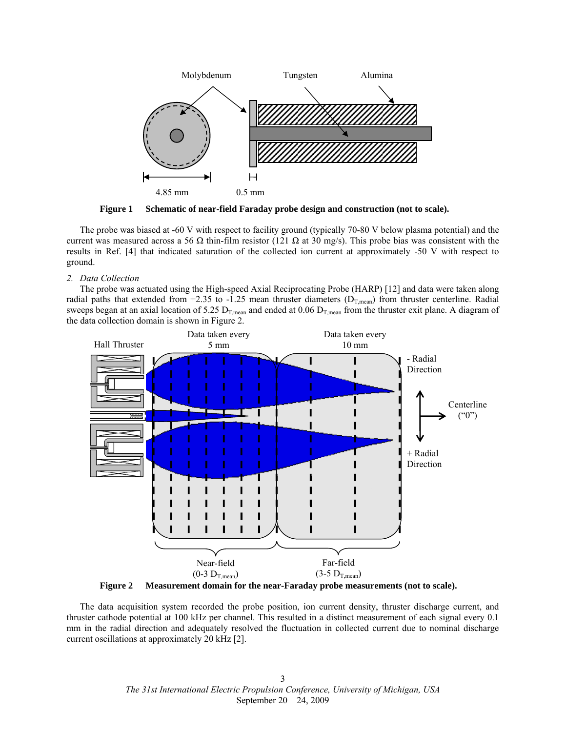

**Figure 1 Schematic of near-field Faraday probe design and construction (not to scale).** 

The probe was biased at -60 V with respect to facility ground (typically 70-80 V below plasma potential) and the current was measured across a 56  $\Omega$  thin-film resistor (121  $\Omega$  at 30 mg/s). This probe bias was consistent with the results in Ref. [4] that indicated saturation of the collected ion current at approximately -50 V with respect to ground.

*2. Data Collection* 

The probe was actuated using the High-speed Axial Reciprocating Probe (HARP) [12] and data were taken along radial paths that extended from +2.35 to -1.25 mean thruster diameters  $(D_{T,mean})$  from thruster centerline. Radial sweeps began at an axial location of 5.25  $D_{T,mean}$  and ended at 0.06  $D_{T,mean}$  from the thruster exit plane. A diagram of the data collection domain is shown in [Figure 2.](#page-2-0)



**Figure 2 Measurement domain for the near-Faraday probe measurements (not to scale).** 

<span id="page-2-0"></span>The data acquisition system recorded the probe position, ion current density, thruster discharge current, and thruster cathode potential at 100 kHz per channel. This resulted in a distinct measurement of each signal every 0.1 mm in the radial direction and adequately resolved the fluctuation in collected current due to nominal discharge current oscillations at approximately 20 kHz [2].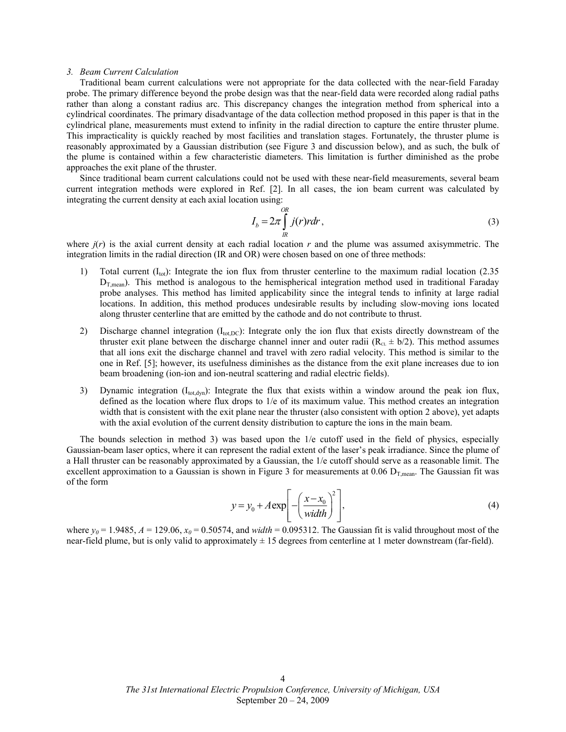#### <span id="page-3-0"></span>*3. Beam Current Calculation*

Traditional beam current calculations were not appropriate for the data collected with the near-field Faraday probe. The primary difference beyond the probe design was that the near-field data were recorded along radial paths rather than along a constant radius arc. This discrepancy changes the integration method from spherical into a cylindrical coordinates. The primary disadvantage of the data collection method proposed in this paper is that in the cylindrical plane, measurements must extend to infinity in the radial direction to capture the entire thruster plume. This impracticality is quickly reached by most facilities and translation stages. Fortunately, the thruster plume is reasonably approximated by a Gaussian distribution (see [Figure 3](#page-4-0) and discussion below), and as such, the bulk of the plume is contained within a few characteristic diameters. This limitation is further diminished as the probe approaches the exit plane of the thruster.

Since traditional beam current calculations could not be used with these near-field measurements, several beam current integration methods were explored in Ref. [2]. In all cases, the ion beam current was calculated by integrating the current density at each axial location using:

$$
I_b = 2\pi \int\limits_R^{OR} j(r)rdr,
$$
\n(3)

where  $j(r)$  is the axial current density at each radial location  $r$  and the plume was assumed axisymmetric. The integration limits in the radial direction (IR and OR) were chosen based on one of three methods:

- 1) Total current  $(I<sub>tot</sub>)$ : Integrate the ion flux from thruster centerline to the maximum radial location (2.35)  $D_{T,mean}$ ). This method is analogous to the hemispherical integration method used in traditional Faraday probe analyses. This method has limited applicability since the integral tends to infinity at large radial locations. In addition, this method produces undesirable results by including slow-moving ions located along thruster centerline that are emitted by the cathode and do not contribute to thrust.
- 2) Discharge channel integration  $(I_{tot,DC})$ : Integrate only the ion flux that exists directly downstream of the thruster exit plane between the discharge channel inner and outer radii  $(R<sub>CI</sub> \pm b/2)$ . This method assumes that all ions exit the discharge channel and travel with zero radial velocity. This method is similar to the one in Ref. [5]; however, its usefulness diminishes as the distance from the exit plane increases due to ion beam broadening (ion-ion and ion-neutral scattering and radial electric fields).
- 3) Dynamic integration  $(I_{tot, dyn})$ : Integrate the flux that exists within a window around the peak ion flux, defined as the location where flux drops to 1/e of its maximum value. This method creates an integration width that is consistent with the exit plane near the thruster (also consistent with option 2 above), yet adapts with the axial evolution of the current density distribution to capture the ions in the main beam.

The bounds selection in method 3) was based upon the 1/e cutoff used in the field of physics, especially Gaussian-beam laser optics, where it can represent the radial extent of the laser's peak irradiance. Since the plume of a Hall thruster can be reasonably approximated by a Gaussian, the 1/e cutoff should serve as a reasonable limit. The excellent approximation to a Gaussian is shown in [Figure 3](#page-4-0) for measurements at 0.06  $D_{\text{T mean}}$ . The Gaussian fit was of the form

$$
y = y_0 + A \exp\left[-\left(\frac{x - x_0}{width}\right)^2\right],\tag{4}
$$

where  $y_0 = 1.9485$ ,  $A = 129.06$ ,  $x_0 = 0.50574$ , and *width* = 0.095312. The Gaussian fit is valid throughout most of the near-field plume, but is only valid to approximately  $\pm$  15 degrees from centerline at 1 meter downstream (far-field).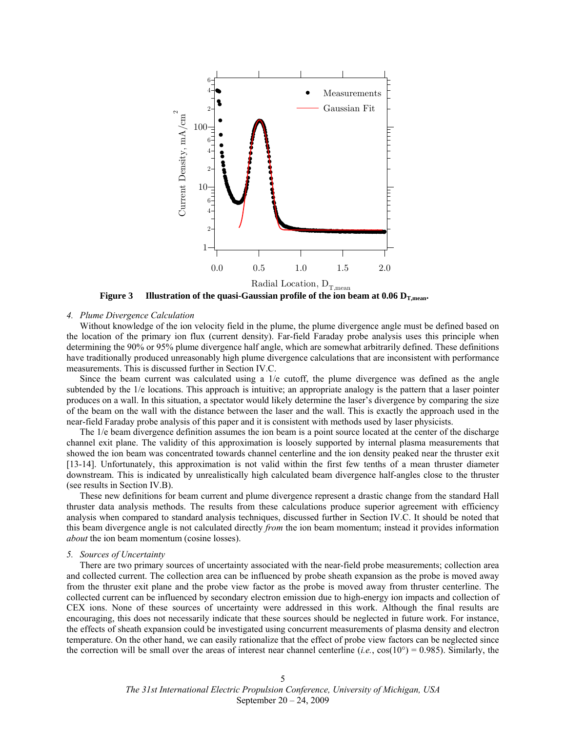

**Figure 3** Illustration of the quasi-Gaussian profile of the ion beam at  $0.06 \text{ D}_{\text{T,mean}}$ .

# <span id="page-4-0"></span>*4. Plume Divergence Calculation*

Without knowledge of the ion velocity field in the plume, the plume divergence angle must be defined based on the location of the primary ion flux (current density). Far-field Faraday probe analysis uses this principle when determining the 90% or 95% plume divergence half angle, which are somewhat arbitrarily defined. These definitions have traditionally produced unreasonably high plume divergence calculations that are inconsistent with performance measurements. This is discussed further in Section [IV.](#page-8-0)[C.](#page-10-0)

Since the beam current was calculated using a 1/e cutoff, the plume divergence was defined as the angle subtended by the 1/e locations. This approach is intuitive; an appropriate analogy is the pattern that a laser pointer produces on a wall. In this situation, a spectator would likely determine the laser's divergence by comparing the size of the beam on the wall with the distance between the laser and the wall. This is exactly the approach used in the near-field Faraday probe analysis of this paper and it is consistent with methods used by laser physicists.

The 1/e beam divergence definition assumes the ion beam is a point source located at the center of the discharge channel exit plane. The validity of this approximation is loosely supported by internal plasma measurements that showed the ion beam was concentrated towards channel centerline and the ion density peaked near the thruster exit [13-14]. Unfortunately, this approximation is not valid within the first few tenths of a mean thruster diameter downstream. This is indicated by unrealistically high calculated beam divergence half-angles close to the thruster (see results in Section [IV](#page-8-0)[.B\)](#page-9-0).

These new definitions for beam current and plume divergence represent a drastic change from the standard Hall thruster data analysis methods. The results from these calculations produce superior agreement with efficiency analysis when compared to standard analysis techniques, discussed further in Section [IV](#page-8-0).[C](#page-10-0). It should be noted that this beam divergence angle is not calculated directly *from* the ion beam momentum; instead it provides information *about* the ion beam momentum (cosine losses).

#### *5. Sources of Uncertainty*

There are two primary sources of uncertainty associated with the near-field probe measurements; collection area and collected current. The collection area can be influenced by probe sheath expansion as the probe is moved away from the thruster exit plane and the probe view factor as the probe is moved away from thruster centerline. The collected current can be influenced by secondary electron emission due to high-energy ion impacts and collection of CEX ions. None of these sources of uncertainty were addressed in this work. Although the final results are encouraging, this does not necessarily indicate that these sources should be neglected in future work. For instance, the effects of sheath expansion could be investigated using concurrent measurements of plasma density and electron temperature. On the other hand, we can easily rationalize that the effect of probe view factors can be neglected since the correction will be small over the areas of interest near channel centerline (*i.e.*,  $cos(10^{\circ}) = 0.985$ ). Similarly, the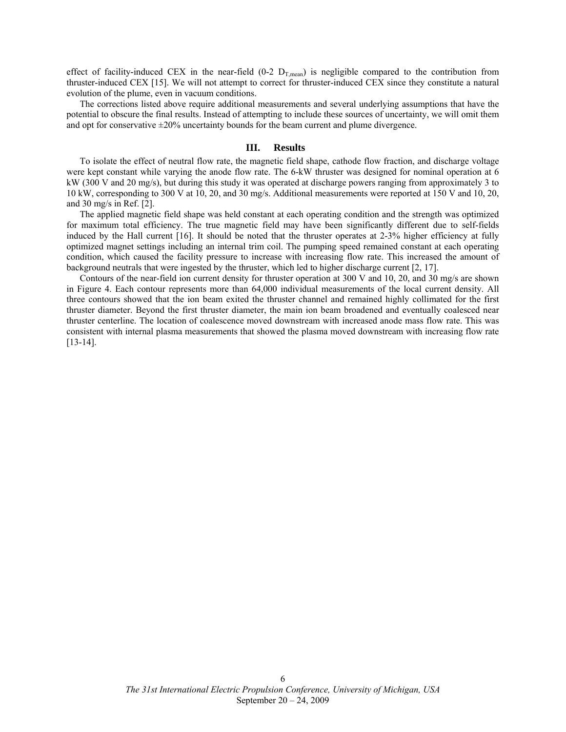effect of facility-induced CEX in the near-field  $(0-2)$   $D_{T,mean}$  is negligible compared to the contribution from thruster-induced CEX [15]. We will not attempt to correct for thruster-induced CEX since they constitute a natural evolution of the plume, even in vacuum conditions.

The corrections listed above require additional measurements and several underlying assumptions that have the potential to obscure the final results. Instead of attempting to include these sources of uncertainty, we will omit them and opt for conservative  $\pm 20\%$  uncertainty bounds for the beam current and plume divergence.

# **III. Results**

To isolate the effect of neutral flow rate, the magnetic field shape, cathode flow fraction, and discharge voltage were kept constant while varying the anode flow rate. The 6-kW thruster was designed for nominal operation at 6 kW (300 V and 20 mg/s), but during this study it was operated at discharge powers ranging from approximately 3 to 10 kW, corresponding to 300 V at 10, 20, and 30 mg/s. Additional measurements were reported at 150 V and 10, 20, and 30 mg/s in Ref. [2].

The applied magnetic field shape was held constant at each operating condition and the strength was optimized for maximum total efficiency. The true magnetic field may have been significantly different due to self-fields induced by the Hall current [16]. It should be noted that the thruster operates at 2-3% higher efficiency at fully optimized magnet settings including an internal trim coil. The pumping speed remained constant at each operating condition, which caused the facility pressure to increase with increasing flow rate. This increased the amount of background neutrals that were ingested by the thruster, which led to higher discharge current [2, 17].

Contours of the near-field ion current density for thruster operation at 300 V and 10, 20, and 30 mg/s are shown in [Figure 4](#page-6-0). Each contour represents more than 64,000 individual measurements of the local current density. All three contours showed that the ion beam exited the thruster channel and remained highly collimated for the first thruster diameter. Beyond the first thruster diameter, the main ion beam broadened and eventually coalesced near thruster centerline. The location of coalescence moved downstream with increased anode mass flow rate. This was consistent with internal plasma measurements that showed the plasma moved downstream with increasing flow rate [13-14].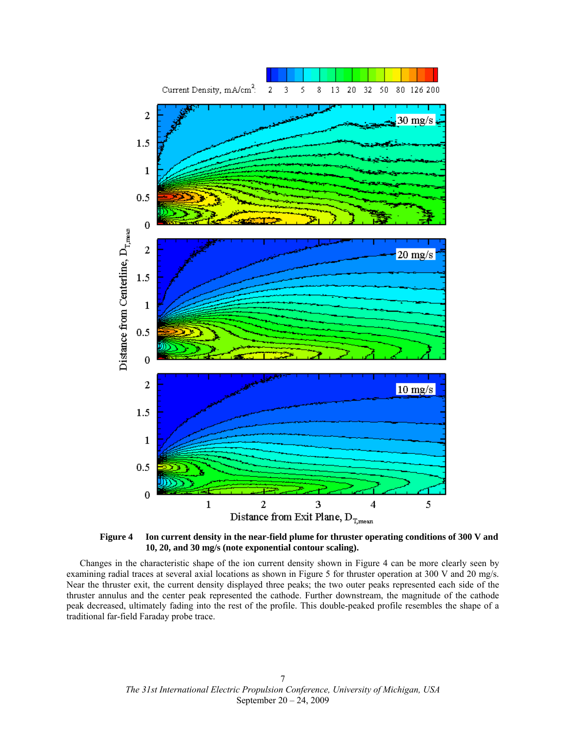

**Figure 4 Ion current density in the near-field plume for thruster operating conditions of 300 V and 10, 20, and 30 mg/s (note exponential contour scaling).** 

<span id="page-6-0"></span>Changes in the characteristic shape of the ion current density shown in [Figure 4](#page-6-0) can be more clearly seen by examining radial traces at several axial locations as shown in [Figure 5](#page-7-0) for thruster operation at 300 V and 20 mg/s. Near the thruster exit, the current density displayed three peaks; the two outer peaks represented each side of the thruster annulus and the center peak represented the cathode. Further downstream, the magnitude of the cathode peak decreased, ultimately fading into the rest of the profile. This double-peaked profile resembles the shape of a traditional far-field Faraday probe trace.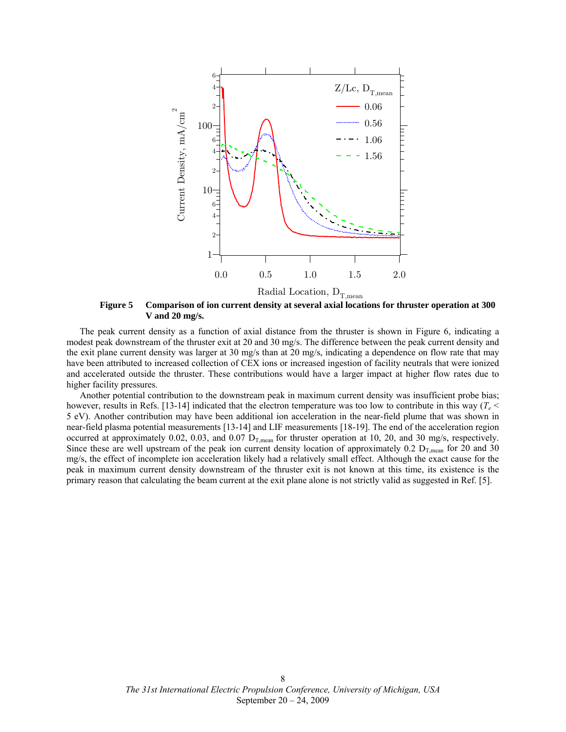

**Figure 5 Comparison of ion current density at several axial locations for thruster operation at 300 V and 20 mg/s.** 

<span id="page-7-0"></span>The peak current density as a function of axial distance from the thruster is shown in [Figure 6](#page-8-1), indicating a modest peak downstream of the thruster exit at 20 and 30 mg/s. The difference between the peak current density and the exit plane current density was larger at 30 mg/s than at 20 mg/s, indicating a dependence on flow rate that may have been attributed to increased collection of CEX ions or increased ingestion of facility neutrals that were ionized and accelerated outside the thruster. These contributions would have a larger impact at higher flow rates due to higher facility pressures.

Another potential contribution to the downstream peak in maximum current density was insufficient probe bias; however, results in Refs. [13-14] indicated that the electron temperature was too low to contribute in this way ( $T_e$  < 5 eV). Another contribution may have been additional ion acceleration in the near-field plume that was shown in near-field plasma potential measurements [13-14] and LIF measurements [18-19]. The end of the acceleration region occurred at approximately 0.02, 0.03, and 0.07  $D_{T,mean}$  for thruster operation at 10, 20, and 30 mg/s, respectively. Since these are well upstream of the peak ion current density location of approximately 0.2  $D_{T,mean}$  for 20 and 30 mg/s, the effect of incomplete ion acceleration likely had a relatively small effect. Although the exact cause for the peak in maximum current density downstream of the thruster exit is not known at this time, its existence is the primary reason that calculating the beam current at the exit plane alone is not strictly valid as suggested in Ref. [5].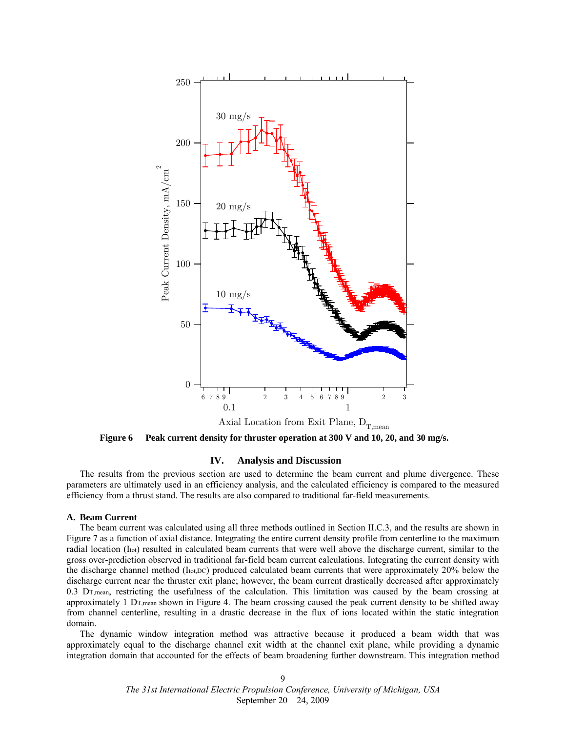

**Figure 6 Peak current density for thruster operation at 300 V and 10, 20, and 30 mg/s.** 

# **IV. Analysis and Discussion**

<span id="page-8-1"></span><span id="page-8-0"></span>The results from the previous section are used to determine the beam current and plume divergence. These parameters are ultimately used in an efficiency analysis, and the calculated efficiency is compared to the measured efficiency from a thrust stand. The results are also compared to traditional far-field measurements.

# **A. Beam Current**

The beam current was calculated using all three methods outlined in Section [II](#page-1-0)[.C](#page-1-1).[3,](#page-3-0) and the results are shown in [Figure 7](#page-9-1) as a function of axial distance. Integrating the entire current density profile from centerline to the maximum radial location (Itot) resulted in calculated beam currents that were well above the discharge current, similar to the gross over-prediction observed in traditional far-field beam current calculations. Integrating the current density with the discharge channel method (Itot,DC) produced calculated beam currents that were approximately 20% below the discharge current near the thruster exit plane; however, the beam current drastically decreased after approximately 0.3 DT,mean, restricting the usefulness of the calculation. This limitation was caused by the beam crossing at approximately 1 DT,mean shown in [Figure 4.](#page-6-0) The beam crossing caused the peak current density to be shifted away from channel centerline, resulting in a drastic decrease in the flux of ions located within the static integration domain.

The dynamic window integration method was attractive because it produced a beam width that was approximately equal to the discharge channel exit width at the channel exit plane, while providing a dynamic integration domain that accounted for the effects of beam broadening further downstream. This integration method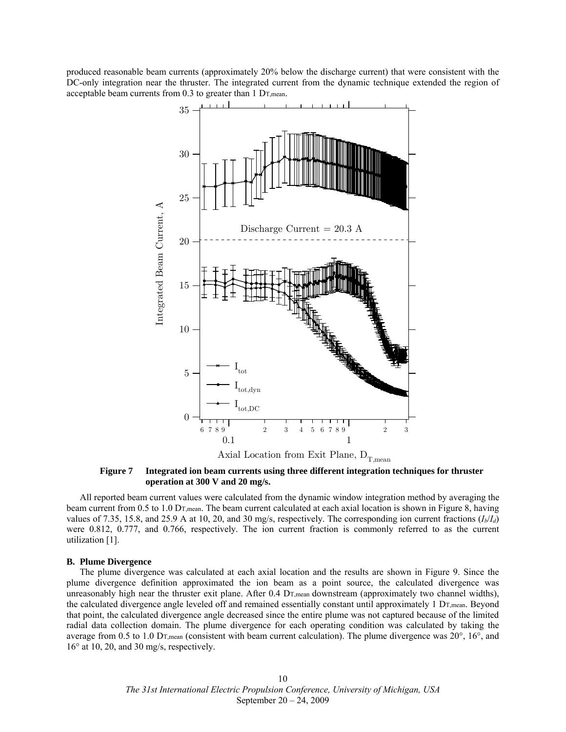produced reasonable beam currents (approximately 20% below the discharge current) that were consistent with the DC-only integration near the thruster. The integrated current from the dynamic technique extended the region of acceptable beam currents from 0.3 to greater than 1 DT,mean.



**Figure 7 Integrated ion beam currents using three different integration techniques for thruster operation at 300 V and 20 mg/s.** 

<span id="page-9-1"></span>All reported beam current values were calculated from the dynamic window integration method by averaging the beam current from 0.5 to 1.0 D<sub>T,mean</sub>. The beam current calculated at each axial location is shown in [Figure 8,](#page-10-1) having values of 7.35, 15.8, and 25.9 A at 10, 20, and 30 mg/s, respectively. The corresponding ion current fractions  $(I_b/I_d)$ were 0.812, 0.777, and 0.766, respectively. The ion current fraction is commonly referred to as the current utilization [1].

#### <span id="page-9-0"></span>**B. Plume Divergence**

The plume divergence was calculated at each axial location and the results are shown in [Figure 9](#page-10-1). Since the plume divergence definition approximated the ion beam as a point source, the calculated divergence was unreasonably high near the thruster exit plane. After 0.4 D<sub>T,mean</sub> downstream (approximately two channel widths), the calculated divergence angle leveled off and remained essentially constant until approximately 1 D<sub>T,mean</sub>. Beyond that point, the calculated divergence angle decreased since the entire plume was not captured because of the limited radial data collection domain. The plume divergence for each operating condition was calculated by taking the average from 0.5 to 1.0 DT,mean (consistent with beam current calculation). The plume divergence was 20°, 16°, and 16° at 10, 20, and 30 mg/s, respectively.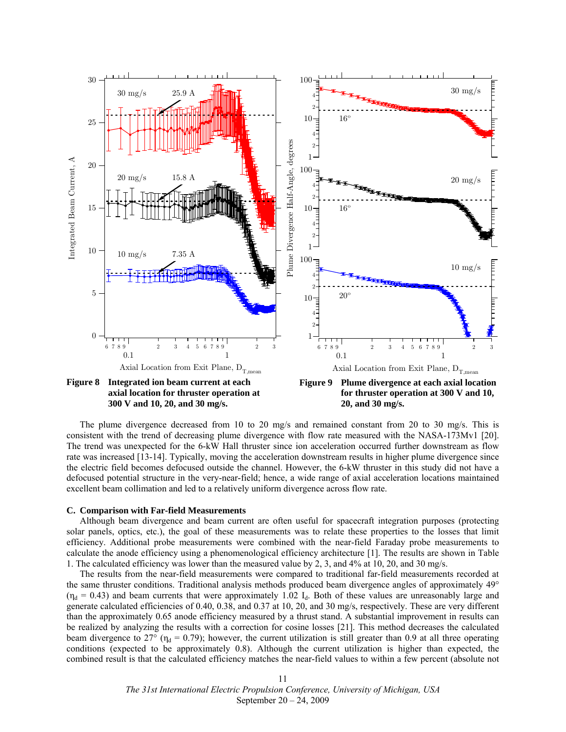

<span id="page-10-1"></span>The plume divergence decreased from 10 to 20 mg/s and remained constant from 20 to 30 mg/s. This is consistent with the trend of decreasing plume divergence with flow rate measured with the NASA-173Mv1 [20]. The trend was unexpected for the 6-kW Hall thruster since ion acceleration occurred further downstream as flow rate was increased [13-14]. Typically, moving the acceleration downstream results in higher plume divergence since the electric field becomes defocused outside the channel. However, the 6-kW thruster in this study did not have a defocused potential structure in the very-near-field; hence, a wide range of axial acceleration locations maintained excellent beam collimation and led to a relatively uniform divergence across flow rate.

#### <span id="page-10-0"></span>**C. Comparison with Far-field Measurements**

Although beam divergence and beam current are often useful for spacecraft integration purposes (protecting solar panels, optics, etc.), the goal of these measurements was to relate these properties to the losses that limit efficiency. Additional probe measurements were combined with the near-field Faraday probe measurements to calculate the anode efficiency using a phenomenological efficiency architecture [1]. The results are shown in [Table](#page-11-0)  [1](#page-11-0). The calculated efficiency was lower than the measured value by 2, 3, and 4% at 10, 20, and 30 mg/s.

The results from the near-field measurements were compared to traditional far-field measurements recorded at the same thruster conditions. Traditional analysis methods produced beam divergence angles of approximately 49°  $(\eta_d = 0.43)$  and beam currents that were approximately 1.02  $I_d$ . Both of these values are unreasonably large and generate calculated efficiencies of 0.40, 0.38, and 0.37 at 10, 20, and 30 mg/s, respectively. These are very different than the approximately 0.65 anode efficiency measured by a thrust stand. A substantial improvement in results can be realized by analyzing the results with a correction for cosine losses [21]. This method decreases the calculated beam divergence to 27° ( $\eta_d$  = 0.79); however, the current utilization is still greater than 0.9 at all three operating conditions (expected to be approximately 0.8). Although the current utilization is higher than expected, the combined result is that the calculated efficiency matches the near-field values to within a few percent (absolute not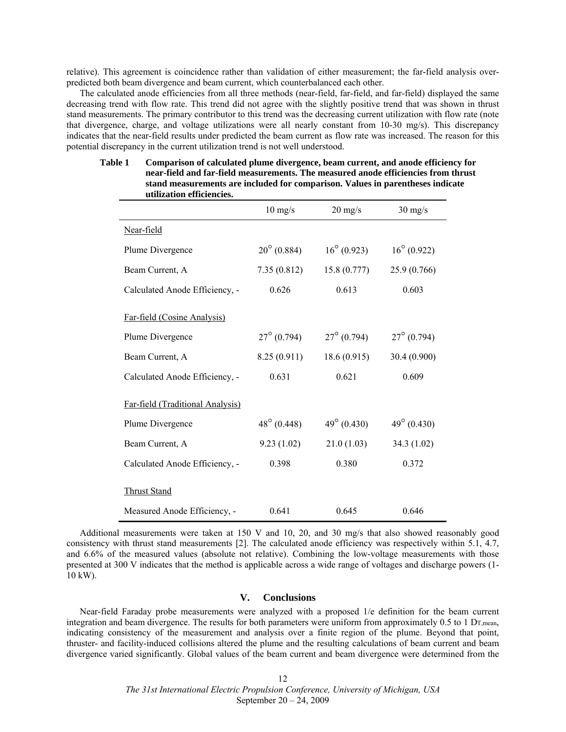relative). This agreement is coincidence rather than validation of either measurement; the far-field analysis overpredicted both beam divergence and beam current, which counterbalanced each other.

<span id="page-11-0"></span>The calculated anode efficiencies from all three methods (near-field, far-field, and far-field) displayed the same decreasing trend with flow rate. This trend did not agree with the slightly positive trend that was shown in thrust stand measurements. The primary contributor to this trend was the decreasing current utilization with flow rate (note that divergence, charge, and voltage utilizations were all nearly constant from 10-30 mg/s). This discrepancy indicates that the near-field results under predicted the beam current as flow rate was increased. The reason for this potential discrepancy in the current utilization trend is not well understood.

|                                  | $10 \frac{\text{mg}}{\text{s}}$ | $20 \frac{\text{mg}}{\text{s}}$ | $30 \frac{\text{mg}}{\text{s}}$ |
|----------------------------------|---------------------------------|---------------------------------|---------------------------------|
| Near-field                       |                                 |                                 |                                 |
| Plume Divergence                 | $20^{\circ}$ (0.884)            | $16^{\circ}$ (0.923)            | $16^{\circ}$ (0.922)            |
| Beam Current, A                  | 7.35(0.812)                     | 15.8(0.777)                     | 25.9 (0.766)                    |
| Calculated Anode Efficiency, -   | 0.626                           | 0.613                           | 0.603                           |
| Far-field (Cosine Analysis)      |                                 |                                 |                                 |
| Plume Divergence                 | $27^{\circ}$ (0.794)            | $27^{\circ}$ (0.794)            | $27^{\circ}$ (0.794)            |
| Beam Current, A                  | 8.25(0.911)                     | 18.6(0.915)                     | 30.4 (0.900)                    |
| Calculated Anode Efficiency, -   | 0.631                           | 0.621                           | 0.609                           |
| Far-field (Traditional Analysis) |                                 |                                 |                                 |
| Plume Divergence                 | $48^{\circ}$ (0.448)            | $49^{\circ}$ (0.430)            | $49^{\circ}$ (0.430)            |
| Beam Current, A                  | 9.23(1.02)                      | 21.0(1.03)                      | 34.3 (1.02)                     |
| Calculated Anode Efficiency, -   | 0.398                           | 0.380                           | 0.372                           |
| <b>Thrust Stand</b>              |                                 |                                 |                                 |
| Measured Anode Efficiency, -     | 0.641                           | 0.645                           | 0.646                           |

### **Table 1 Comparison of calculated plume divergence, beam current, and anode efficiency for near-field and far-field measurements. The measured anode efficiencies from thrust stand measurements are included for comparison. Values in parentheses indicate utilization efficiencies.**

Additional measurements were taken at 150 V and 10, 20, and 30 mg/s that also showed reasonably good consistency with thrust stand measurements [2]. The calculated anode efficiency was respectively within 5.1, 4.7, and 6.6% of the measured values (absolute not relative). Combining the low-voltage measurements with those presented at 300 V indicates that the method is applicable across a wide range of voltages and discharge powers (1- 10 kW).

# **V. Conclusions**

Near-field Faraday probe measurements were analyzed with a proposed 1/e definition for the beam current integration and beam divergence. The results for both parameters were uniform from approximately  $0.5$  to 1 D<sub>T, mean</sub>, indicating consistency of the measurement and analysis over a finite region of the plume. Beyond that point, thruster- and facility-induced collisions altered the plume and the resulting calculations of beam current and beam divergence varied significantly. Global values of the beam current and beam divergence were determined from the

> *The 31st International Electric Propulsion Conference, University of Michigan, USA*  September 20 – 24, 2009 12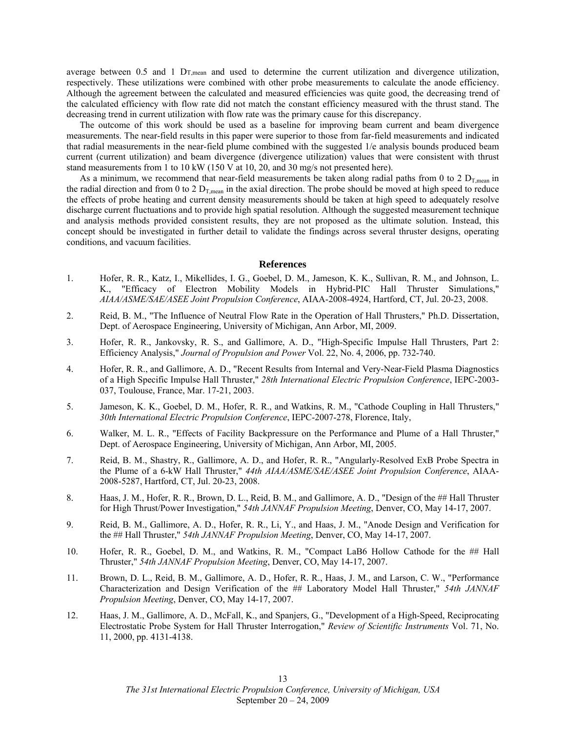average between 0.5 and 1 DT,mean and used to determine the current utilization and divergence utilization, respectively. These utilizations were combined with other probe measurements to calculate the anode efficiency. Although the agreement between the calculated and measured efficiencies was quite good, the decreasing trend of the calculated efficiency with flow rate did not match the constant efficiency measured with the thrust stand. The decreasing trend in current utilization with flow rate was the primary cause for this discrepancy.

The outcome of this work should be used as a baseline for improving beam current and beam divergence measurements. The near-field results in this paper were superior to those from far-field measurements and indicated that radial measurements in the near-field plume combined with the suggested 1/e analysis bounds produced beam current (current utilization) and beam divergence (divergence utilization) values that were consistent with thrust stand measurements from 1 to 10 kW (150 V at 10, 20, and 30 mg/s not presented here).

As a minimum, we recommend that near-field measurements be taken along radial paths from 0 to 2  $D_{T,mean}$  in the radial direction and from 0 to 2  $D_{T,mean}$  in the axial direction. The probe should be moved at high speed to reduce the effects of probe heating and current density measurements should be taken at high speed to adequately resolve discharge current fluctuations and to provide high spatial resolution. Although the suggested measurement technique and analysis methods provided consistent results, they are not proposed as the ultimate solution. Instead, this concept should be investigated in further detail to validate the findings across several thruster designs, operating conditions, and vacuum facilities.

#### **References**

- 1. Hofer, R. R., Katz, I., Mikellides, I. G., Goebel, D. M., Jameson, K. K., Sullivan, R. M., and Johnson, L. K., "Efficacy of Electron Mobility Models in Hybrid-PIC Hall Thruster Simulations," *AIAA/ASME/SAE/ASEE Joint Propulsion Conference*, AIAA-2008-4924, Hartford, CT, Jul. 20-23, 2008.
- 2. Reid, B. M., "The Influence of Neutral Flow Rate in the Operation of Hall Thrusters," Ph.D. Dissertation, Dept. of Aerospace Engineering, University of Michigan, Ann Arbor, MI, 2009.
- 3. Hofer, R. R., Jankovsky, R. S., and Gallimore, A. D., "High-Specific Impulse Hall Thrusters, Part 2: Efficiency Analysis," *Journal of Propulsion and Power* Vol. 22, No. 4, 2006, pp. 732-740.
- 4. Hofer, R. R., and Gallimore, A. D., "Recent Results from Internal and Very-Near-Field Plasma Diagnostics of a High Specific Impulse Hall Thruster," *28th International Electric Propulsion Conference*, IEPC-2003- 037, Toulouse, France, Mar. 17-21, 2003.
- 5. Jameson, K. K., Goebel, D. M., Hofer, R. R., and Watkins, R. M., "Cathode Coupling in Hall Thrusters," *30th International Electric Propulsion Conference*, IEPC-2007-278, Florence, Italy,
- 6. Walker, M. L. R., "Effects of Facility Backpressure on the Performance and Plume of a Hall Thruster," Dept. of Aerospace Engineering, University of Michigan, Ann Arbor, MI, 2005.
- 7. Reid, B. M., Shastry, R., Gallimore, A. D., and Hofer, R. R., "Angularly-Resolved ExB Probe Spectra in the Plume of a 6-kW Hall Thruster," *44th AIAA/ASME/SAE/ASEE Joint Propulsion Conference*, AIAA-2008-5287, Hartford, CT, Jul. 20-23, 2008.
- 8. Haas, J. M., Hofer, R. R., Brown, D. L., Reid, B. M., and Gallimore, A. D., "Design of the ## Hall Thruster for High Thrust/Power Investigation," *54th JANNAF Propulsion Meeting*, Denver, CO, May 14-17, 2007.
- 9. Reid, B. M., Gallimore, A. D., Hofer, R. R., Li, Y., and Haas, J. M., "Anode Design and Verification for the ## Hall Thruster," *54th JANNAF Propulsion Meeting*, Denver, CO, May 14-17, 2007.
- 10. Hofer, R. R., Goebel, D. M., and Watkins, R. M., "Compact LaB6 Hollow Cathode for the ## Hall Thruster," *54th JANNAF Propulsion Meeting*, Denver, CO, May 14-17, 2007.
- 11. Brown, D. L., Reid, B. M., Gallimore, A. D., Hofer, R. R., Haas, J. M., and Larson, C. W., "Performance Characterization and Design Verification of the ## Laboratory Model Hall Thruster," *54th JANNAF Propulsion Meeting*, Denver, CO, May 14-17, 2007.
- 12. Haas, J. M., Gallimore, A. D., McFall, K., and Spanjers, G., "Development of a High-Speed, Reciprocating Electrostatic Probe System for Hall Thruster Interrogation," *Review of Scientific Instruments* Vol. 71, No. 11, 2000, pp. 4131-4138.